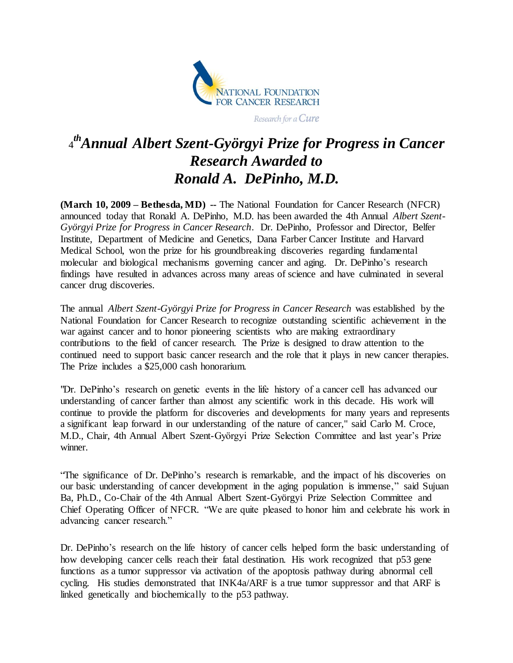

Research for a Cure

## 4 *thAnnual Albert Szent-Györgyi Prize for Progress in Cancer Research Awarded to Ronald A. DePinho, M.D.*

**(March 10, 2009 – Bethesda, MD) --** The National Foundation for Cancer Research (NFCR) announced today that Ronald A. DePinho, M.D. has been awarded the 4th Annual *Albert Szent-Györgyi Prize for Progress in Cancer Research*. Dr. DePinho, Professor and Director, Belfer Institute, Department of Medicine and Genetics, Dana Farber Cancer Institute and Harvard Medical School, won the prize for his groundbreaking discoveries regarding fundamental molecular and biological mechanisms governing cancer and aging. Dr. DePinho's research findings have resulted in advances across many areas of science and have culminated in several cancer drug discoveries.

The annual *Albert Szent-Györgyi Prize for Progress in Cancer Research* was established by the National Foundation for Cancer Research to recognize outstanding scientific achievement in the war against cancer and to honor pioneering scientists who are making extraordinary contributions to the field of cancer research. The Prize is designed to draw attention to the continued need to support basic cancer research and the role that it plays in new cancer therapies. The Prize includes a \$25,000 cash honorarium.

"Dr. DePinho's research on genetic events in the life history of a cancer cell has advanced our understanding of cancer farther than almost any scientific work in this decade. His work will continue to provide the platform for discoveries and developments for many years and represents a significant leap forward in our understanding of the nature of cancer," said Carlo M. Croce, M.D., Chair, 4th Annual Albert Szent-Györgyi Prize Selection Committee and last year's Prize winner.

"The significance of Dr. DePinho's research is remarkable, and the impact of his discoveries on our basic understanding of cancer development in the aging population is immense," said Sujuan Ba, Ph.D., Co-Chair of the 4th Annual Albert Szent-Györgyi Prize Selection Committee and Chief Operating Officer of NFCR. "We are quite pleased to honor him and celebrate his work in advancing cancer research."

Dr. DePinho's research on the life history of cancer cells helped form the basic understanding of how developing cancer cells reach their fatal destination. His work recognized that p53 gene functions as a tumor suppressor via activation of the apoptosis pathway during abnormal cell cycling. His studies demonstrated that INK4a/ARF is a true tumor suppressor and that ARF is linked genetically and biochemically to the p53 pathway.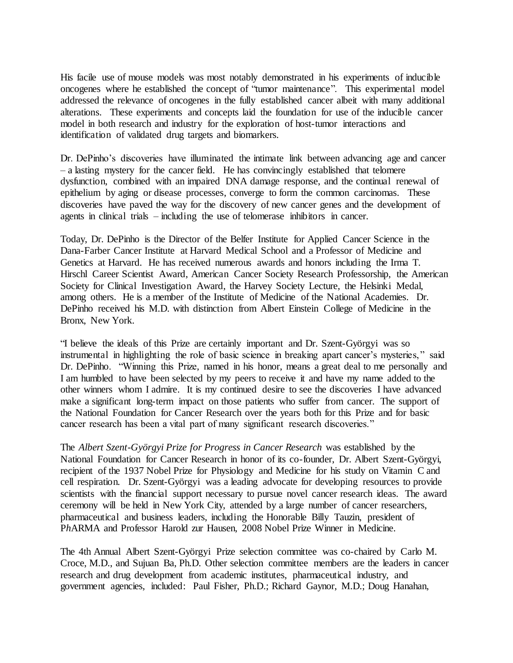His facile use of mouse models was most notably demonstrated in his experiments of inducible oncogenes where he established the concept of "tumor maintenance". This experimental model addressed the relevance of oncogenes in the fully established cancer albeit with many additional alterations. These experiments and concepts laid the foundation for use of the inducible cancer model in both research and industry for the exploration of host-tumor interactions and identification of validated drug targets and biomarkers.

Dr. DePinho's discoveries have illuminated the intimate link between advancing age and cancer – a lasting mystery for the cancer field. He has convincingly established that telomere dysfunction, combined with an impaired DNA damage response, and the continual renewal of epithelium by aging or disease processes, converge to form the common carcinomas. These discoveries have paved the way for the discovery of new cancer genes and the development of agents in clinical trials – including the use of telomerase inhibitors in cancer.

Today, Dr. DePinho is the Director of the Belfer Institute for Applied Cancer Science in the Dana-Farber Cancer Institute at Harvard Medical School and a Professor of Medicine and Genetics at Harvard. He has received numerous awards and honors including the Irma T. Hirschl Career Scientist Award, American Cancer Society Research Professorship, the American Society for Clinical Investigation Award, the Harvey Society Lecture, the Helsinki Medal, among others. He is a member of the Institute of Medicine of the National Academies. Dr. DePinho received his M.D. with distinction from Albert Einstein College of Medicine in the Bronx, New York.

"I believe the ideals of this Prize are certainly important and Dr. Szent-Györgyi was so instrumental in highlighting the role of basic science in breaking apart cancer's mysteries," said Dr. DePinho. "Winning this Prize, named in his honor, means a great deal to me personally and I am humbled to have been selected by my peers to receive it and have my name added to the other winners whom I admire. It is my continued desire to see the discoveries I have advanced make a significant long-term impact on those patients who suffer from cancer. The support of the National Foundation for Cancer Research over the years both for this Prize and for basic cancer research has been a vital part of many significant research discoveries."

The *Albert Szent-Györgyi Prize for Progress in Cancer Research* was established by the National Foundation for Cancer Research in honor of its co-founder, Dr. Albert Szent-Györgyi, recipient of the 1937 Nobel Prize for Physiology and Medicine for his study on Vitamin C and cell respiration. Dr. Szent-Györgyi was a leading advocate for developing resources to provide scientists with the financial support necessary to pursue novel cancer research ideas. The award ceremony will be held in New York City, attended by a large number of cancer researchers, pharmaceutical and business leaders, including the Honorable Billy Tauzin, president of P*h*ARMA and Professor Harold zur Hausen, 2008 Nobel Prize Winner in Medicine.

The 4th Annual Albert Szent-Györgyi Prize selection committee was co-chaired by Carlo M. Croce, M.D., and Sujuan Ba, Ph.D. Other selection committee members are the leaders in cancer research and drug development from academic institutes, pharmaceutical industry, and government agencies, included: Paul Fisher, Ph.D.; Richard Gaynor, M.D.; Doug Hanahan,